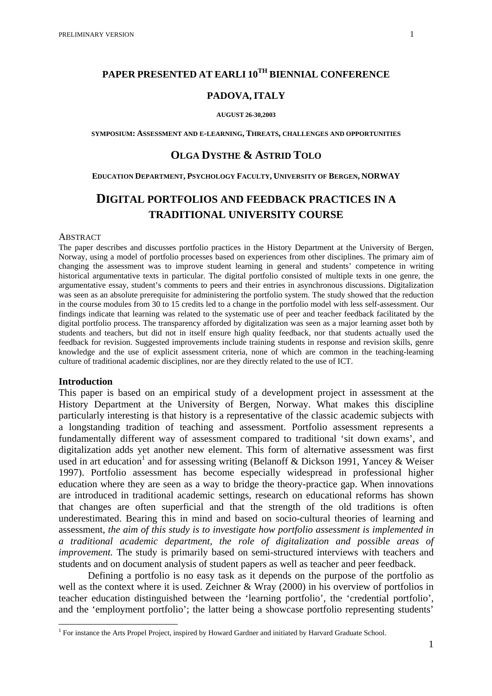# **PAPER PRESENTED AT EARLI 10<sup>TH</sup> BIENNIAL CONFERENCE**

### **PADOVA, ITALY**

#### **AUGUST 26-30,2003**

**SYMPOSIUM: ASSESSMENT AND E-LEARNING, THREATS, CHALLENGES AND OPPORTUNITIES**

# **OLGA DYSTHE & ASTRID TOLO**

#### **EDUCATION DEPARTMENT, PSYCHOLOGY FACULTY, UNIVERSITY OF BERGEN, NORWAY**

# **DIGITAL PORTFOLIOS AND FEEDBACK PRACTICES IN A TRADITIONAL UNIVERSITY COURSE**

#### ABSTRACT

The paper describes and discusses portfolio practices in the History Department at the University of Bergen, Norway, using a model of portfolio processes based on experiences from other disciplines. The primary aim of changing the assessment was to improve student learning in general and students' competence in writing historical argumentative texts in particular. The digital portfolio consisted of multiple texts in one genre, the argumentative essay, student's comments to peers and their entries in asynchronous discussions. Digitalization was seen as an absolute prerequisite for administering the portfolio system. The study showed that the reduction in the course modules from 30 to 15 credits led to a change in the portfolio model with less self-assessment. Our findings indicate that learning was related to the systematic use of peer and teacher feedback facilitated by the digital portfolio process. The transparency afforded by digitalization was seen as a major learning asset both by students and teachers, but did not in itself ensure high quality feedback, nor that students actually used the feedback for revision. Suggested improvements include training students in response and revision skills, genre knowledge and the use of explicit assessment criteria, none of which are common in the teaching-learning culture of traditional academic disciplines, nor are they directly related to the use of ICT.

#### **Introduction**

 $\overline{a}$ 

This paper is based on an empirical study of a development project in assessment at the History Department at the University of Bergen, Norway. What makes this discipline particularly interesting is that history is a representative of the classic academic subjects with a longstanding tradition of teaching and assessment. Portfolio assessment represents a fundamentally different way of assessment compared to traditional 'sit down exams', and digitalization adds yet another new element. This form of alternative assessment was first used in art education<sup>1</sup> and for assessing writing (Belanoff & Dickson 1991, Yancey & Weiser 1997). Portfolio assessment has become especially widespread in professional higher education where they are seen as a way to bridge the theory-practice gap. When innovations are introduced in traditional academic settings, research on educational reforms has shown that changes are often superficial and that the strength of the old traditions is often underestimated. Bearing this in mind and based on socio-cultural theories of learning and assessment, *the aim of this study is to investigate how portfolio assessment is implemented in a traditional academic department, the role of digitalization and possible areas of improvement.* The study is primarily based on semi-structured interviews with teachers and students and on document analysis of student papers as well as teacher and peer feedback.

Defining a portfolio is no easy task as it depends on the purpose of the portfolio as well as the context where it is used. Zeichner  $\&$  Wray (2000) in his overview of portfolios in teacher education distinguished between the 'learning portfolio', the 'credential portfolio', and the 'employment portfolio'; the latter being a showcase portfolio representing students'

<span id="page-0-0"></span><sup>&</sup>lt;sup>1</sup> For instance the Arts Propel Project, inspired by Howard Gardner and initiated by Harvard Graduate School.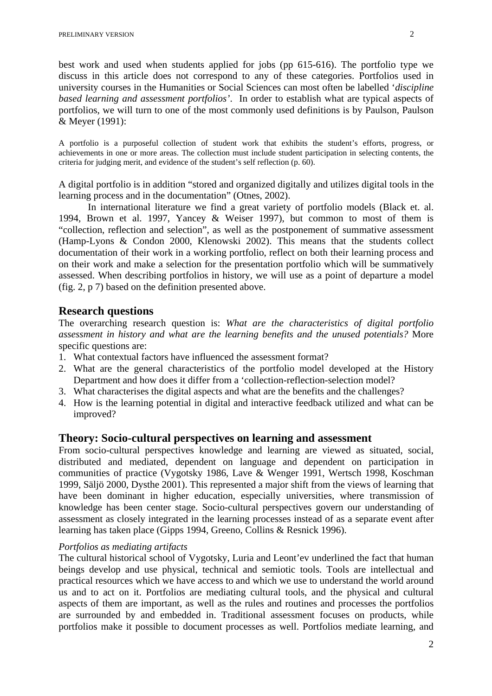best work and used when students applied for jobs (pp 615-616). The portfolio type we discuss in this article does not correspond to any of these categories. Portfolios used in university courses in the Humanities or Social Sciences can most often be labelled '*discipline based learning and assessment portfolios'*. In order to establish what are typical aspects of portfolios, we will turn to one of the most commonly used definitions is by Paulson, Paulson & Meyer (1991):

A portfolio is a purposeful collection of student work that exhibits the student's efforts, progress, or achievements in one or more areas. The collection must include student participation in selecting contents, the criteria for judging merit, and evidence of the student's self reflection (p. 60).

A digital portfolio is in addition "stored and organized digitally and utilizes digital tools in the learning process and in the documentation" (Otnes, 2002).

In international literature we find a great variety of portfolio models (Black et. al. 1994, Brown et al. 1997, Yancey & Weiser 1997), but common to most of them is "collection, reflection and selection", as well as the postponement of summative assessment (Hamp-Lyons & Condon 2000, Klenowski 2002). This means that the students collect documentation of their work in a working portfolio, reflect on both their learning process and on their work and make a selection for the presentation portfolio which will be summatively assessed. When describing portfolios in history, we will use as a point of departure a model (fig. 2, p 7) based on the definition presented above.

# **Research questions**

The overarching research question is: *What are the characteristics of digital portfolio assessment in history and what are the learning benefits and the unused potentials?* More specific questions are:

- 1. What contextual factors have influenced the assessment format?
- 2. What are the general characteristics of the portfolio model developed at the History Department and how does it differ from a 'collection-reflection-selection model?
- 3. What characterises the digital aspects and what are the benefits and the challenges?
- 4. How is the learning potential in digital and interactive feedback utilized and what can be improved?

## **Theory: Socio-cultural perspectives on learning and assessment**

From socio-cultural perspectives knowledge and learning are viewed as situated, social, distributed and mediated, dependent on language and dependent on participation in communities of practice (Vygotsky 1986, Lave & Wenger 1991, Wertsch 1998, Koschman 1999, Säljö 2000, Dysthe 2001). This represented a major shift from the views of learning that have been dominant in higher education, especially universities, where transmission of knowledge has been center stage. Socio-cultural perspectives govern our understanding of assessment as closely integrated in the learning processes instead of as a separate event after learning has taken place (Gipps 1994, Greeno, Collins & Resnick 1996).

#### *Portfolios as mediating artifacts*

The cultural historical school of Vygotsky, Luria and Leont'ev underlined the fact that human beings develop and use physical, technical and semiotic tools. Tools are intellectual and practical resources which we have access to and which we use to understand the world around us and to act on it. Portfolios are mediating cultural tools, and the physical and cultural aspects of them are important, as well as the rules and routines and processes the portfolios are surrounded by and embedded in. Traditional assessment focuses on products, while portfolios make it possible to document processes as well. Portfolios mediate learning, and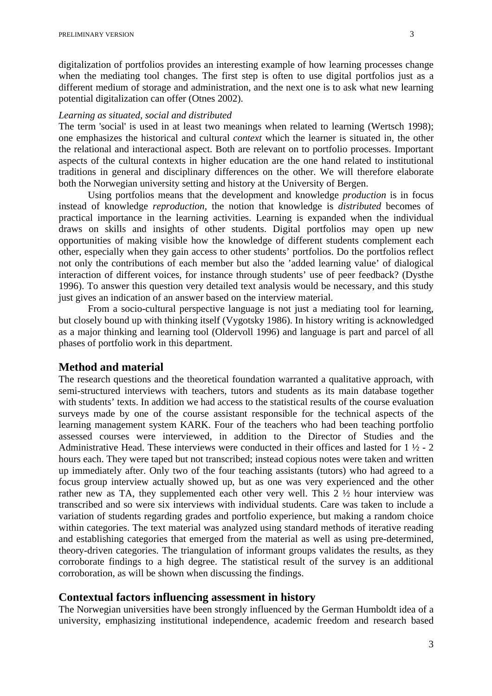digitalization of portfolios provides an interesting example of how learning processes change when the mediating tool changes. The first step is often to use digital portfolios just as a different medium of storage and administration, and the next one is to ask what new learning potential digitalization can offer (Otnes 2002).

#### *Learning as situated, social and distributed*

The term 'social' is used in at least two meanings when related to learning (Wertsch 1998); one emphasizes the historical and cultural *context* which the learner is situated in, the other the relational and interactional aspect. Both are relevant on to portfolio processes. Important aspects of the cultural contexts in higher education are the one hand related to institutional traditions in general and disciplinary differences on the other. We will therefore elaborate both the Norwegian university setting and history at the University of Bergen.

Using portfolios means that the development and knowledge *production* is in focus instead of knowledge *reproduction,* the notion that knowledge is *distributed* becomes of practical importance in the learning activities. Learning is expanded when the individual draws on skills and insights of other students. Digital portfolios may open up new opportunities of making visible how the knowledge of different students complement each other, especially when they gain access to other students' portfolios. Do the portfolios reflect not only the contributions of each member but also the 'added learning value' of dialogical interaction of different voices, for instance through students' use of peer feedback? (Dysthe 1996). To answer this question very detailed text analysis would be necessary, and this study just gives an indication of an answer based on the interview material.

From a socio-cultural perspective language is not just a mediating tool for learning, but closely bound up with thinking itself (Vygotsky 1986). In history writing is acknowledged as a major thinking and learning tool (Oldervoll 1996) and language is part and parcel of all phases of portfolio work in this department.

## **Method and material**

The research questions and the theoretical foundation warranted a qualitative approach, with semi-structured interviews with teachers, tutors and students as its main database together with students' texts. In addition we had access to the statistical results of the course evaluation surveys made by one of the course assistant responsible for the technical aspects of the learning management system KARK. Four of the teachers who had been teaching portfolio assessed courses were interviewed, in addition to the Director of Studies and the Administrative Head. These interviews were conducted in their offices and lasted for  $1 \frac{1}{2} - 2$ hours each. They were taped but not transcribed; instead copious notes were taken and written up immediately after. Only two of the four teaching assistants (tutors) who had agreed to a focus group interview actually showed up, but as one was very experienced and the other rather new as TA, they supplemented each other very well. This 2 ½ hour interview was transcribed and so were six interviews with individual students. Care was taken to include a variation of students regarding grades and portfolio experience, but making a random choice within categories. The text material was analyzed using standard methods of iterative reading and establishing categories that emerged from the material as well as using pre-determined, theory-driven categories. The triangulation of informant groups validates the results, as they corroborate findings to a high degree. The statistical result of the survey is an additional corroboration, as will be shown when discussing the findings.

### **Contextual factors influencing assessment in history**

The Norwegian universities have been strongly influenced by the German Humboldt idea of a university, emphasizing institutional independence, academic freedom and research based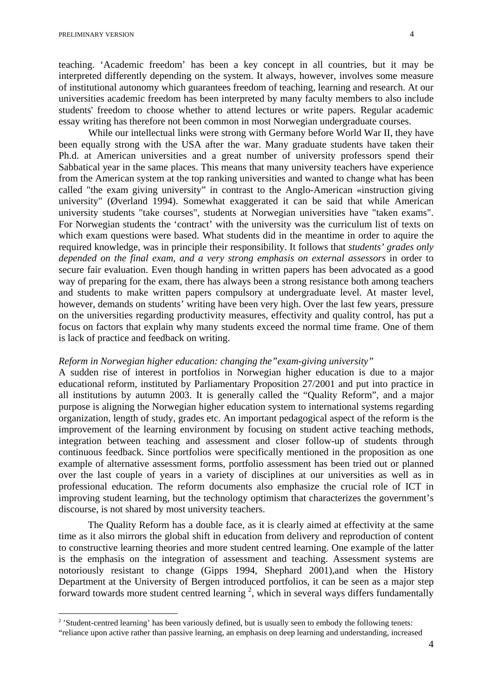teaching. 'Academic freedom' has been a key concept in all countries, but it may be interpreted differently depending on the system. It always, however, involves some measure of institutional autonomy which guarantees freedom of teaching, learning and research. At our universities academic freedom has been interpreted by many faculty members to also include students' freedom to choose whether to attend lectures or write papers. Regular academic essay writing has therefore not been common in most Norwegian undergraduate courses.

While our intellectual links were strong with Germany before World War II, they have been equally strong with the USA after the war. Many graduate students have taken their Ph.d. at American universities and a great number of university professors spend their Sabbatical year in the same places. This means that many university teachers have experience from the American system at the top ranking universities and wanted to change what has been called "the exam giving university" in contrast to the Anglo-American «instruction giving university" (Øverland 1994). Somewhat exaggerated it can be said that while American university students "take courses", students at Norwegian universities have "taken exams". For Norwegian students the 'contract' with the university was the curriculum list of texts on which exam questions were based. What students did in the meantime in order to aquire the required knowledge, was in principle their responsibility. It follows that *students' grades only depended on the final exam, and a very strong emphasis on external assessors* in order to secure fair evaluation. Even though handing in written papers has been advocated as a good way of preparing for the exam, there has always been a strong resistance both among teachers and students to make written papers compulsory at undergraduate level. At master level, however, demands on students' writing have been very high. Over the last few years, pressure on the universities regarding productivity measures, effectivity and quality control, has put a focus on factors that explain why many students exceed the normal time frame. One of them is lack of practice and feedback on writing.

## *Reform in Norwegian higher education: changing the"exam-giving university"*

A sudden rise of interest in portfolios in Norwegian higher education is due to a major educational reform, instituted by Parliamentary Proposition 27/2001 and put into practice in all institutions by autumn 2003. It is generally called the "Quality Reform", and a major purpose is aligning the Norwegian higher education system to international systems regarding organization, length of study, grades etc. An important pedagogical aspect of the reform is the improvement of the learning environment by focusing on student active teaching methods, integration between teaching and assessment and closer follow-up of students through continuous feedback. Since portfolios were specifically mentioned in the proposition as one example of alternative assessment forms, portfolio assessment has been tried out or planned over the last couple of years in a variety of disciplines at our universities as well as in professional education. The reform documents also emphasize the crucial role of ICT in improving student learning, but the technology optimism that characterizes the government's discourse, is not shared by most university teachers.

The Quality Reform has a double face, as it is clearly aimed at effectivity at the same time as it also mirrors the global shift in education from delivery and reproduction of content to constructive learning theories and more student centred learning. One example of the latter is the emphasis on the integration of assessment and teaching. Assessment systems are notoriously resistant to change (Gipps 1994, Shephard 2001),and when the History Department at the University of Bergen introduced portfolios, it can be seen as a major step forward towards more student centred learning  $2$ , which in several ways differs fundamentally

<span id="page-3-0"></span><sup>&</sup>lt;sup>2</sup> 'Student-centred learning' has been variously defined, but is usually seen to embody the following tenets:

<sup>&</sup>quot;reliance upon active rather than passive learning, an emphasis on deep learning and understanding, increased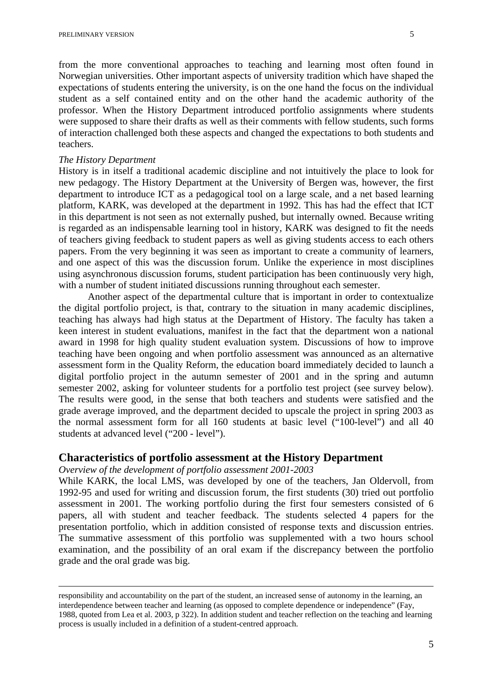from the more conventional approaches to teaching and learning most often found in Norwegian universities. Other important aspects of university tradition which have shaped the expectations of students entering the university, is on the one hand the focus on the individual student as a self contained entity and on the other hand the academic authority of the professor. When the History Department introduced portfolio assignments where students were supposed to share their drafts as well as their comments with fellow students, such forms of interaction challenged both these aspects and changed the expectations to both students and teachers.

## *The History Department*

History is in itself a traditional academic discipline and not intuitively the place to look for new pedagogy. The History Department at the University of Bergen was, however, the first department to introduce ICT as a pedagogical tool on a large scale, and a net based learning platform, KARK, was developed at the department in 1992. This has had the effect that ICT in this department is not seen as not externally pushed, but internally owned. Because writing is regarded as an indispensable learning tool in history, KARK was designed to fit the needs of teachers giving feedback to student papers as well as giving students access to each others papers. From the very beginning it was seen as important to create a community of learners, and one aspect of this was the discussion forum. Unlike the experience in most disciplines using asynchronous discussion forums, student participation has been continuously very high, with a number of student initiated discussions running throughout each semester.

Another aspect of the departmental culture that is important in order to contextualize the digital portfolio project, is that, contrary to the situation in many academic disciplines, teaching has always had high status at the Department of History. The faculty has taken a keen interest in student evaluations, manifest in the fact that the department won a national award in 1998 for high quality student evaluation system. Discussions of how to improve teaching have been ongoing and when portfolio assessment was announced as an alternative assessment form in the Quality Reform, the education board immediately decided to launch a digital portfolio project in the autumn semester of 2001 and in the spring and autumn semester 2002, asking for volunteer students for a portfolio test project (see survey below). The results were good, in the sense that both teachers and students were satisfied and the grade average improved, and the department decided to upscale the project in spring 2003 as the normal assessment form for all 160 students at basic level ("100-level") and all 40 students at advanced level ("200 - level").

# **Characteristics of portfolio assessment at the History Department**

# *Overview of the development of portfolio assessment 2001-2003*

While KARK, the local LMS, was developed by one of the teachers, Jan Oldervoll, from 1992-95 and used for writing and discussion forum, the first students (30) tried out portfolio assessment in 2001. The working portfolio during the first four semesters consisted of 6 papers, all with student and teacher feedback. The students selected 4 papers for the presentation portfolio, which in addition consisted of response texts and discussion entries. The summative assessment of this portfolio was supplemented with a two hours school examination, and the possibility of an oral exam if the discrepancy between the portfolio grade and the oral grade was big.

responsibility and accountability on the part of the student, an increased sense of autonomy in the learning, an interdependence between teacher and learning (as opposed to complete dependence or independence" (Fay, 1988, quoted from Lea et al. 2003, p 322). In addition student and teacher reflection on the teaching and learning process is usually included in a definition of a student-centred approach.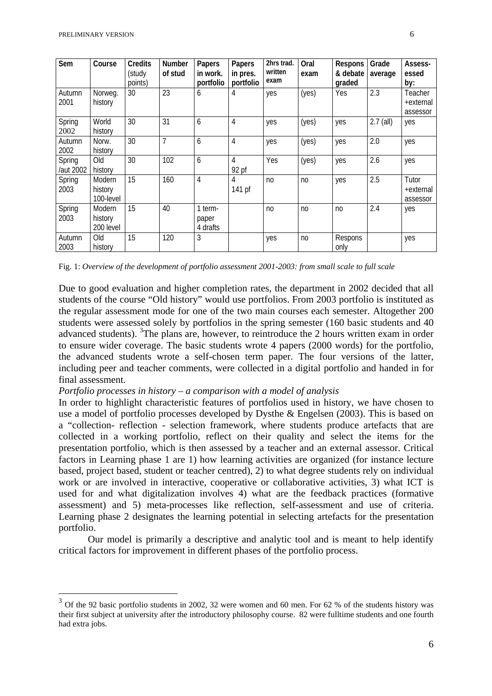| Sem                 | Course                         | Credits<br>(study<br>points) | <b>Number</b><br>of stud | Papers<br>in work.<br>portfolio | Papers<br>in pres.<br>portfolio | 2hrs trad.<br>written<br>exam | Oral<br>exam   | Respons<br>& debate<br>graded | Grade<br>average | Assess-<br>essed<br>by:          |
|---------------------|--------------------------------|------------------------------|--------------------------|---------------------------------|---------------------------------|-------------------------------|----------------|-------------------------------|------------------|----------------------------------|
| Autumn<br>2001      | Norweg.<br>history             | 30                           | 23                       | 6                               | 4                               | yes                           | (yes)          | Yes                           | 2.3              | Teacher<br>+external<br>assessor |
| Spring<br>2002      | World<br>history               | 30                           | 31                       | 6                               | 4                               | yes                           | (yes)          | yes                           | $2.7$ (all)      | yes                              |
| Autumn<br>2002      | Norw.<br>history               | 30                           | 7                        | 6                               | 4                               | yes                           | (yes)          | yes                           | 2.0              | yes                              |
| Spring<br>/aut 2002 | Old<br>history                 | 30                           | 102                      | 6                               | 4<br>92 pf                      | Yes                           | (yes)          | yes                           | 2.6              | yes                              |
| Spring<br>2003      | Modern<br>history<br>100-level | 15                           | 160                      | 4                               | 4<br>141 pf                     | n <sub>0</sub>                | no             | yes                           | 2.5              | Tutor<br>+external<br>assessor   |
| Spring<br>2003      | Modern<br>history<br>200 level | 15                           | 40                       | 1 term-<br>paper<br>4 drafts    |                                 | n <sub>0</sub>                | n <sub>0</sub> | n <sub>0</sub>                | 2.4              | yes                              |
| Autumn<br>2003      | Old<br>history                 | 15                           | 120                      | 3                               |                                 | yes                           | no             | Respons<br>only               |                  | yes                              |

Fig. 1: *Overview of the development of portfolio assessment 2001-2003: from small scale to full scale*

Due to good evaluation and higher completion rates, the department in 2002 decided that all students of the course "Old history" would use portfolios. From 2003 portfolio is instituted as the regular assessment mode for one of the two main courses each semester. Altogether 200 students were assessed solely by portfolios in the spring semester (160 basic students and 40 advanced students). <sup>[3](#page-5-0)</sup>The plans are, however, to reintroduce the 2 hours written exam in order to ensure wider coverage. The basic students wrote 4 papers (2000 words) for the portfolio, the advanced students wrote a self-chosen term paper. The four versions of the latter, including peer and teacher comments, were collected in a digital portfolio and handed in for final assessment.

### *Portfolio processes in history – a comparison with a model of analysis*

In order to highlight characteristic features of portfolios used in history, we have chosen to use a model of portfolio processes developed by Dysthe & Engelsen (2003). This is based on a "collection- reflection - selection framework, where students produce artefacts that are collected in a working portfolio, reflect on their quality and select the items for the presentation portfolio, which is then assessed by a teacher and an external assessor. Critical factors in Learning phase 1 are 1) how learning activities are organized (for instance lecture based, project based, student or teacher centred), 2) to what degree students rely on individual work or are involved in interactive, cooperative or collaborative activities, 3) what ICT is used for and what digitalization involves 4) what are the feedback practices (formative assessment) and 5) meta-processes like reflection, self-assessment and use of criteria. Learning phase 2 designates the learning potential in selecting artefacts for the presentation portfolio.

Our model is primarily a descriptive and analytic tool and is meant to help identify critical factors for improvement in different phases of the portfolio process.

<span id="page-5-0"></span><sup>&</sup>lt;sup>3</sup> Of the 92 basic portfolio students in 2002, 32 were women and 60 men. For 62 % of the students history was their first subject at university after the introductory philosophy course. 82 were fulltime students and one fourth had extra jobs.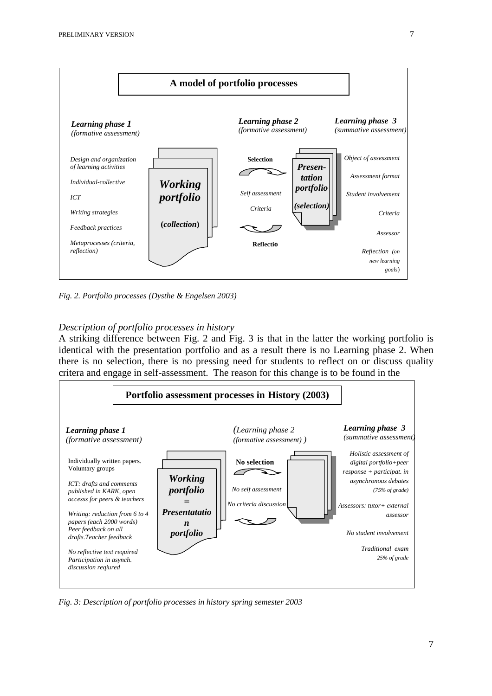

*Fig. 2. Portfolio processes (Dysthe & Engelsen 2003)*

## *Description of portfolio processes in history*

A striking difference between Fig. 2 and Fig. 3 is that in the latter the working portfolio is identical with the presentation portfolio and as a result there is no Learning phase 2. When there is no selection, there is no pressing need for students to reflect on or discuss quality critera and engage in self-assessment. The reason for this change is to be found in the



*Fig. 3: Description of portfolio processes in history spring semester 2003*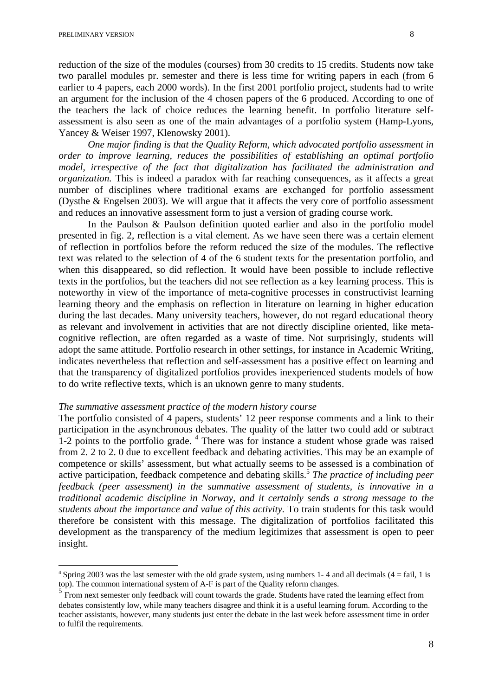reduction of the size of the modules (courses) from 30 credits to 15 credits. Students now take two parallel modules pr. semester and there is less time for writing papers in each (from 6 earlier to 4 papers, each 2000 words). In the first 2001 portfolio project, students had to write an argument for the inclusion of the 4 chosen papers of the 6 produced. According to one of the teachers the lack of choice reduces the learning benefit. In portfolio literature selfassessment is also seen as one of the main advantages of a portfolio system (Hamp-Lyons, Yancey & Weiser 1997, Klenowsky 2001).

*One major finding is that the Quality Reform, which advocated portfolio assessment in order to improve learning, reduces the possibilities of establishing an optimal portfolio model, irrespective of the fact that digitalization has facilitated the administration and organization*. This is indeed a paradox with far reaching consequences, as it affects a great number of disciplines where traditional exams are exchanged for portfolio assessment (Dysthe & Engelsen 2003). We will argue that it affects the very core of portfolio assessment and reduces an innovative assessment form to just a version of grading course work.

In the Paulson & Paulson definition quoted earlier and also in the portfolio model presented in fig. 2, reflection is a vital element. As we have seen there was a certain element of reflection in portfolios before the reform reduced the size of the modules. The reflective text was related to the selection of 4 of the 6 student texts for the presentation portfolio, and when this disappeared, so did reflection. It would have been possible to include reflective texts in the portfolios, but the teachers did not see reflection as a key learning process. This is noteworthy in view of the importance of meta-cognitive processes in constructivist learning learning theory and the emphasis on reflection in literature on learning in higher education during the last decades. Many university teachers, however, do not regard educational theory as relevant and involvement in activities that are not directly discipline oriented, like metacognitive reflection, are often regarded as a waste of time. Not surprisingly, students will adopt the same attitude. Portfolio research in other settings, for instance in Academic Writing, indicates nevertheless that reflection and self-assessment has a positive effect on learning and that the transparency of digitalized portfolios provides inexperienced students models of how to do write reflective texts, which is an uknown genre to many students.

### *The summative assessment practice of the modern history course*

The portfolio consisted of 4 papers, students' 12 peer response comments and a link to their participation in the asynchronous debates. The quality of the latter two could add or subtract 1-2 points to the portfolio grade. <sup>[4](#page-7-0)</sup> There was for instance a student whose grade was raised from 2. 2 to 2. 0 due to excellent feedback and debating activities. This may be an example of competence or skills' assessment, but what actually seems to be assessed is a combination of active participation, feedback competence and debating skills.<sup>5</sup> *The practice of including peer feedback (peer assessment) in the summative assessment of students, is innovative in a traditional academic discipline in Norway, and it certainly sends a strong message to the students about the importance and value of this activity.* To train students for this task would therefore be consistent with this message. The digitalization of portfolios facilitated this development as the transparency of the medium legitimizes that assessment is open to peer insight.

<span id="page-7-0"></span> $4$  Spring 2003 was the last semester with the old grade system, using numbers 1-4 and all decimals (4 = fail, 1 is top). The common international system of A-F is part of the Quality reform changes.

<span id="page-7-1"></span><sup>&</sup>lt;sup>5</sup> From next semester only feedback will count towards the grade. Students have rated the learning effect from debates consistently low, while many teachers disagree and think it is a useful learning forum. According to the teacher assistants, however, many students just enter the debate in the last week before assessment time in order to fulfil the requirements.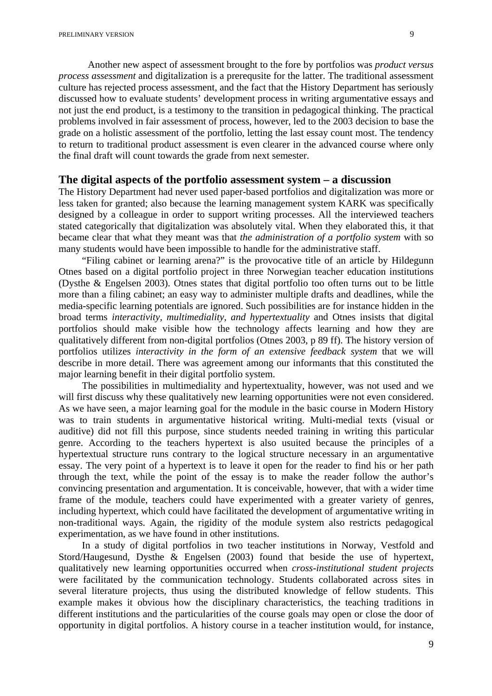Another new aspect of assessment brought to the fore by portfolios was *product versus process assessment* and digitalization is a prerequsite for the latter. The traditional assessment culture has rejected process assessment, and the fact that the History Department has seriously discussed how to evaluate students' development process in writing argumentative essays and not just the end product, is a testimony to the transition in pedagogical thinking. The practical problems involved in fair assessment of process, however, led to the 2003 decision to base the grade on a holistic assessment of the portfolio, letting the last essay count most. The tendency to return to traditional product assessment is even clearer in the advanced course where only the final draft will count towards the grade from next semester.

# **The digital aspects of the portfolio assessment system – a discussion**

The History Department had never used paper-based portfolios and digitalization was more or less taken for granted; also because the learning management system KARK was specifically designed by a colleague in order to support writing processes. All the interviewed teachers stated categorically that digitalization was absolutely vital. When they elaborated this, it that became clear that what they meant was that *the administration of a portfolio system* with so many students would have been impossible to handle for the administrative staff.

"Filing cabinet or learning arena?" is the provocative title of an article by Hildegunn Otnes based on a digital portfolio project in three Norwegian teacher education institutions (Dysthe & Engelsen 2003). Otnes states that digital portfolio too often turns out to be little more than a filing cabinet; an easy way to administer multiple drafts and deadlines, while the media-specific learning potentials are ignored. Such possibilities are for instance hidden in the broad terms *interactivity, multimediality, and hypertextuality* and Otnes insists that digital portfolios should make visible how the technology affects learning and how they are qualitatively different from non-digital portfolios (Otnes 2003, p 89 ff). The history version of portfolios utilizes *interactivity in the form of an extensive feedback system* that we will describe in more detail. There was agreement among our informants that this constituted the major learning benefit in their digital portfolio system.

The possibilities in multimediality and hypertextuality, however, was not used and we will first discuss why these qualitatively new learning opportunities were not even considered. As we have seen, a major learning goal for the module in the basic course in Modern History was to train students in argumentative historical writing. Multi-medial texts (visual or auditive) did not fill this purpose, since students needed training in writing this particular genre. According to the teachers hypertext is also usuited because the principles of a hypertextual structure runs contrary to the logical structure necessary in an argumentative essay. The very point of a hypertext is to leave it open for the reader to find his or her path through the text, while the point of the essay is to make the reader follow the author's convincing presentation and argumentation. It is conceivable, however, that with a wider time frame of the module, teachers could have experimented with a greater variety of genres, including hypertext, which could have facilitated the development of argumentative writing in non-traditional ways. Again, the rigidity of the module system also restricts pedagogical experimentation, as we have found in other institutions.

In a study of digital portfolios in two teacher institutions in Norway, Vestfold and Stord/Haugesund, Dysthe & Engelsen (2003) found that beside the use of hypertext, qualitatively new learning opportunities occurred when *cross-institutional student projects* were facilitated by the communication technology. Students collaborated across sites in several literature projects, thus using the distributed knowledge of fellow students. This example makes it obvious how the disciplinary characteristics, the teaching traditions in different institutions and the particularities of the course goals may open or close the door of opportunity in digital portfolios. A history course in a teacher institution would, for instance,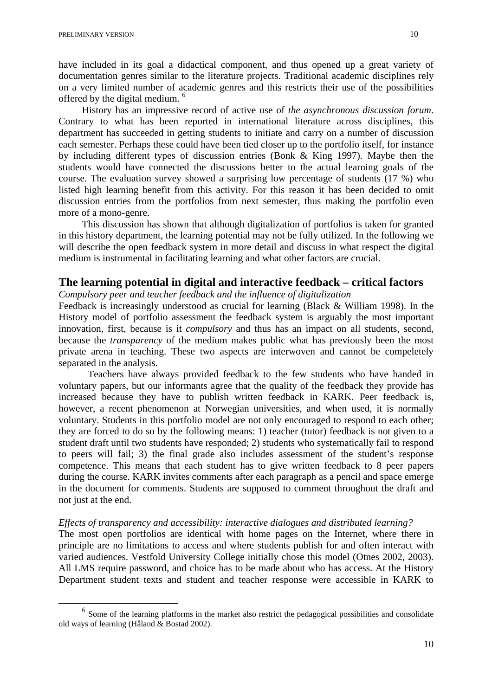have included in its goal a didactical component, and thus opened up a great variety of documentation genres similar to the literature projects. Traditional academic disciplines rely on a very limited number of academic genres and this restricts their use of the possibilities offered by the digital medium. [6](#page-9-0)

History has an impressive record of active use of *the asynchronous discussion forum*. Contrary to what has been reported in international literature across disciplines, this department has succeeded in getting students to initiate and carry on a number of discussion each semester. Perhaps these could have been tied closer up to the portfolio itself, for instance by including different types of discussion entries (Bonk & King 1997). Maybe then the students would have connected the discussions better to the actual learning goals of the course. The evaluation survey showed a surprising low percentage of students (17 %) who listed high learning benefit from this activity. For this reason it has been decided to omit discussion entries from the portfolios from next semester, thus making the portfolio even more of a mono-genre.

This discussion has shown that although digitalization of portfolios is taken for granted in this history department, the learning potential may not be fully utilized. In the following we will describe the open feedback system in more detail and discuss in what respect the digital medium is instrumental in facilitating learning and what other factors are crucial.

# **The learning potential in digital and interactive feedback – critical factors**

*Compulsory peer and teacher feedback and the influence of digitalization*

Feedback is increasingly understood as crucial for learning (Black & William 1998). In the History model of portfolio assessment the feedback system is arguably the most important innovation, first, because is it *compulsory* and thus has an impact on all students, second, because the *transparency* of the medium makes public what has previously been the most private arena in teaching. These two aspects are interwoven and cannot be compeletely separated in the analysis.

Teachers have always provided feedback to the few students who have handed in voluntary papers, but our informants agree that the quality of the feedback they provide has increased because they have to publish written feedback in KARK. Peer feedback is, however, a recent phenomenon at Norwegian universities, and when used, it is normally voluntary. Students in this portfolio model are not only encouraged to respond to each other; they are forced to do so by the following means: 1) teacher (tutor) feedback is not given to a student draft until two students have responded; 2) students who systematically fail to respond to peers will fail; 3) the final grade also includes assessment of the student's response competence. This means that each student has to give written feedback to 8 peer papers during the course. KARK invites comments after each paragraph as a pencil and space emerge in the document for comments. Students are supposed to comment throughout the draft and not just at the end.

## *Effects of transparency and accessibility: interactive dialogues and distributed learning?*

The most open portfolios are identical with home pages on the Internet, where there in principle are no limitations to access and where students publish for and often interact with varied audiences. Vestfold University College initially chose this model (Otnes 2002, 2003). All LMS require password, and choice has to be made about who has access. At the History Department student texts and student and teacher response were accessible in KARK to

<span id="page-9-0"></span> $<sup>6</sup>$  Some of the learning platforms in the market also restrict the pedagogical possibilities and consolidate</sup> old ways of learning (Håland & Bostad 2002).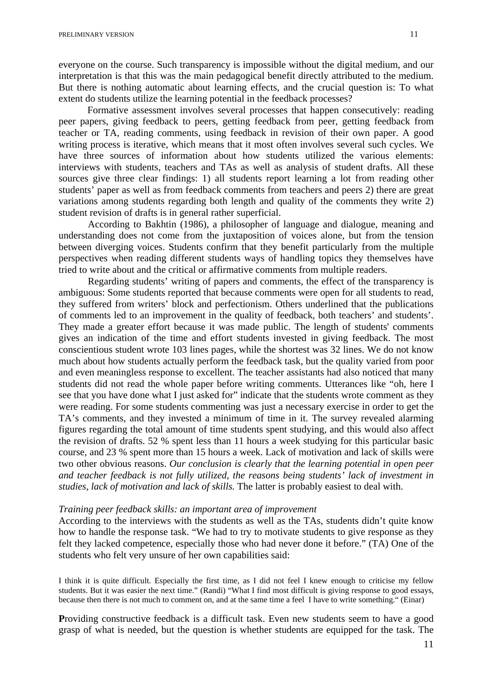everyone on the course. Such transparency is impossible without the digital medium, and our interpretation is that this was the main pedagogical benefit directly attributed to the medium. But there is nothing automatic about learning effects, and the crucial question is: To what extent do students utilize the learning potential in the feedback processes?

Formative assessment involves several processes that happen consecutively: reading peer papers, giving feedback to peers, getting feedback from peer, getting feedback from teacher or TA, reading comments, using feedback in revision of their own paper. A good writing process is iterative, which means that it most often involves several such cycles. We have three sources of information about how students utilized the various elements: interviews with students, teachers and TAs as well as analysis of student drafts. All these sources give three clear findings: 1) all students report learning a lot from reading other students' paper as well as from feedback comments from teachers and peers 2) there are great variations among students regarding both length and quality of the comments they write 2) student revision of drafts is in general rather superficial.

According to Bakhtin (1986), a philosopher of language and dialogue, meaning and understanding does not come from the juxtaposition of voices alone, but from the tension between diverging voices. Students confirm that they benefit particularly from the multiple perspectives when reading different students ways of handling topics they themselves have tried to write about and the critical or affirmative comments from multiple readers.

Regarding students' writing of papers and comments, the effect of the transparency is ambiguous: Some students reported that because comments were open for all students to read, they suffered from writers' block and perfectionism. Others underlined that the publications of comments led to an improvement in the quality of feedback, both teachers' and students'. They made a greater effort because it was made public. The length of students' comments gives an indication of the time and effort students invested in giving feedback. The most conscientious student wrote 103 lines pages, while the shortest was 32 lines. We do not know much about how students actually perform the feedback task, but the quality varied from poor and even meaningless response to excellent. The teacher assistants had also noticed that many students did not read the whole paper before writing comments. Utterances like "oh, here I see that you have done what I just asked for" indicate that the students wrote comment as they were reading. For some students commenting was just a necessary exercise in order to get the TA's comments, and they invested a minimum of time in it. The survey revealed alarming figures regarding the total amount of time students spent studying, and this would also affect the revision of drafts. 52 % spent less than 11 hours a week studying for this particular basic course, and 23 % spent more than 15 hours a week. Lack of motivation and lack of skills were two other obvious reasons. *Our conclusion is clearly that the learning potential in open peer and teacher feedback is not fully utilized, the reasons being students' lack of investment in studies, lack of motivation and lack of skills.* The latter is probably easiest to deal with.

#### *Training peer feedback skills: an important area of improvement*

According to the interviews with the students as well as the TAs, students didn't quite know how to handle the response task. "We had to try to motivate students to give response as they felt they lacked competence, especially those who had never done it before." (TA) One of the students who felt very unsure of her own capabilities said:

I think it is quite difficult. Especially the first time, as I did not feel I knew enough to criticise my fellow students. But it was easier the next time." (Randi) "What I find most difficult is giving response to good essays, because then there is not much to comment on, and at the same time a feel I have to write something." (Einar)

**P**roviding constructive feedback is a difficult task. Even new students seem to have a good grasp of what is needed, but the question is whether students are equipped for the task. The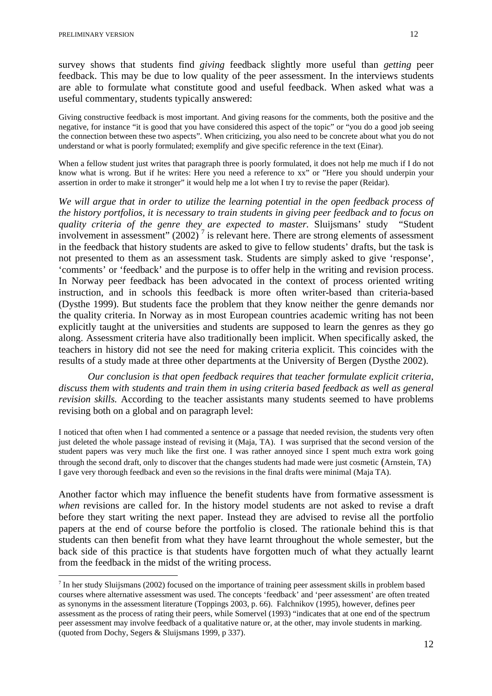survey shows that students find *giving* feedback slightly more useful than *getting* peer feedback. This may be due to low quality of the peer assessment. In the interviews students are able to formulate what constitute good and useful feedback. When asked what was a useful commentary, students typically answered:

Giving constructive feedback is most important. And giving reasons for the comments, both the positive and the negative, for instance "it is good that you have considered this aspect of the topic" or "you do a good job seeing the connection between these two aspects". When criticizing, you also need to be concrete about what you do not understand or what is poorly formulated; exemplify and give specific reference in the text (Einar).

When a fellow student just writes that paragraph three is poorly formulated, it does not help me much if I do not know what is wrong. But if he writes: Here you need a reference to xx" or "Here you should underpin your assertion in order to make it stronger" it would help me a lot when I try to revise the paper (Reidar).

*We will argue that in order to utilize the learning potential in the open feedback process of the history portfolios, it is necessary to train students in giving peer feedback and to focus on quality criteria of the genre they are expected to master.* Sluijsmans' study "Student involvementin assessment"  $(2002)^7$  is relevant here. There are strong elements of assessment in the feedback that history students are asked to give to fellow students' drafts, but the task is not presented to them as an assessment task. Students are simply asked to give 'response', 'comments' or 'feedback' and the purpose is to offer help in the writing and revision process. In Norway peer feedback has been advocated in the context of process oriented writing instruction, and in schools this feedback is more often writer-based than criteria-based (Dysthe 1999). But students face the problem that they know neither the genre demands nor the quality criteria. In Norway as in most European countries academic writing has not been explicitly taught at the universities and students are supposed to learn the genres as they go along. Assessment criteria have also traditionally been implicit. When specifically asked, the teachers in history did not see the need for making criteria explicit. This coincides with the results of a study made at three other departments at the University of Bergen (Dysthe 2002).

*Our conclusion is that open feedback requires that teacher formulate explicit criteria, discuss them with students and train them in using criteria based feedback as well as general revision skills.* According to the teacher assistants many students seemed to have problems revising both on a global and on paragraph level:

I noticed that often when I had commented a sentence or a passage that needed revision, the students very often just deleted the whole passage instead of revising it (Maja, TA). I was surprised that the second version of the student papers was very much like the first one. I was rather annoyed since I spent much extra work going through the second draft, only to discover that the changes students had made were just cosmetic (Arnstein, TA) I gave very thorough feedback and even so the revisions in the final drafts were minimal (Maja TA).

Another factor which may influence the benefit students have from formative assessment is *when* revisions are called for. In the history model students are not asked to revise a draft before they start writing the next paper. Instead they are advised to revise all the portfolio papers at the end of course before the portfolio is closed. The rationale behind this is that students can then benefit from what they have learnt throughout the whole semester, but the back side of this practice is that students have forgotten much of what they actually learnt from the feedback in the midst of the writing process.

<span id="page-11-0"></span><sup>7</sup> In her study Sluijsmans (2002) focused on the importance of training peer assessment skills in problem based courses where alternative assessment was used. The concepts 'feedback' and 'peer assessment' are often treated as synonyms in the assessment literature (Toppings 2003, p. 66). Falchnikov (1995), however, defines peer assessment as the process of rating their peers, while Somervel (1993) "indicates that at one end of the spectrum peer assessment may involve feedback of a qualitative nature or, at the other, may invole students in marking. (quoted from Dochy, Segers & Sluijsmans 1999, p 337).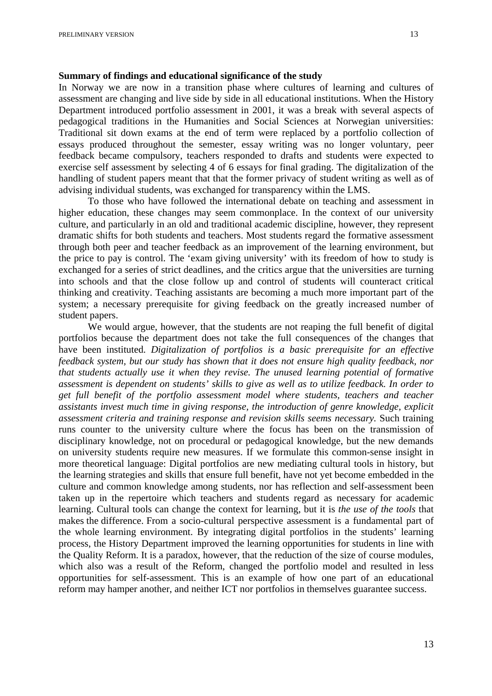#### **Summary of findings and educational significance of the study**

In Norway we are now in a transition phase where cultures of learning and cultures of assessment are changing and live side by side in all educational institutions. When the History Department introduced portfolio assessment in 2001, it was a break with several aspects of pedagogical traditions in the Humanities and Social Sciences at Norwegian universities: Traditional sit down exams at the end of term were replaced by a portfolio collection of essays produced throughout the semester, essay writing was no longer voluntary, peer feedback became compulsory, teachers responded to drafts and students were expected to exercise self assessment by selecting 4 of 6 essays for final grading. The digitalization of the handling of student papers meant that that the former privacy of student writing as well as of advising individual students, was exchanged for transparency within the LMS.

To those who have followed the international debate on teaching and assessment in higher education, these changes may seem commonplace. In the context of our university culture, and particularly in an old and traditional academic discipline, however, they represent dramatic shifts for both students and teachers. Most students regard the formative assessment through both peer and teacher feedback as an improvement of the learning environment, but the price to pay is control. The 'exam giving university' with its freedom of how to study is exchanged for a series of strict deadlines, and the critics argue that the universities are turning into schools and that the close follow up and control of students will counteract critical thinking and creativity. Teaching assistants are becoming a much more important part of the system; a necessary prerequisite for giving feedback on the greatly increased number of student papers.

We would argue, however, that the students are not reaping the full benefit of digital portfolios because the department does not take the full consequences of the changes that have been instituted. *Digitalization of portfolios is a basic prerequisite for an effective feedback system, but our study has shown that it does not ensure high quality feedback, nor that students actually use it when they revise. The unused learning potential of formative assessment is dependent on students' skills to give as well as to utilize feedback. In order to get full benefit of the portfolio assessment model where students, teachers and teacher assistants invest much time in giving response, the introduction of genre knowledge, explicit assessment criteria and training response and revision skills seems necessary.* Such training runs counter to the university culture where the focus has been on the transmission of disciplinary knowledge, not on procedural or pedagogical knowledge, but the new demands on university students require new measures. If we formulate this common-sense insight in more theoretical language: Digital portfolios are new mediating cultural tools in history, but the learning strategies and skills that ensure full benefit, have not yet become embedded in the culture and common knowledge among students, nor has reflection and self-assessment been taken up in the repertoire which teachers and students regard as necessary for academic learning. Cultural tools can change the context for learning, but it is *the use of the tools* that makes the difference. From a socio-cultural perspective assessment is a fundamental part of the whole learning environment. By integrating digital portfolios in the students' learning process, the History Department improved the learning opportunities for students in line with the Quality Reform. It is a paradox, however, that the reduction of the size of course modules, which also was a result of the Reform, changed the portfolio model and resulted in less opportunities for self-assessment. This is an example of how one part of an educational reform may hamper another, and neither ICT nor portfolios in themselves guarantee success.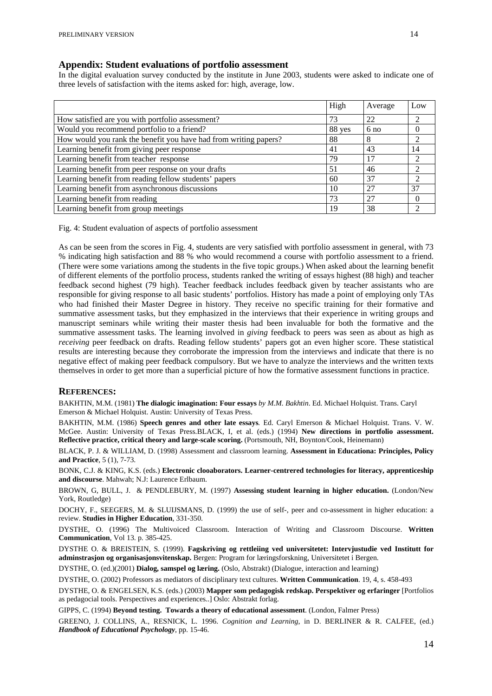#### **Appendix: Student evaluations of portfolio assessment**

In the digital evaluation survey conducted by the institute in June 2003, students were asked to indicate one of three levels of satisfaction with the items asked for: high, average, low.

|                                                                  | High   | Average         | Low |
|------------------------------------------------------------------|--------|-----------------|-----|
| How satisfied are you with portfolio assessment?                 | 73     | 22              | ◠   |
| Would you recommend portfolio to a friend?                       | 88 yes | 6 <sub>no</sub> |     |
| How would you rank the benefit you have had from writing papers? | 88     | 8               | 2   |
| Learning benefit from giving peer response                       | 41     | 43              | 14  |
| Learning benefit from teacher response                           | 79     | 17              |     |
| Learning benefit from peer response on your drafts               | 51     | 46              | 2   |
| Learning benefit from reading fellow students' papers            | 60     | 37              | ∍   |
| Learning benefit from asynchronous discussions                   | 10     | 27              | 37  |
| Learning benefit from reading                                    | 73     | 27              |     |
| Learning benefit from group meetings                             | 19     | 38              |     |

Fig. 4: Student evaluation of aspects of portfolio assessment

As can be seen from the scores in Fig. 4, students are very satisfied with portfolio assessment in general, with 73 % indicating high satisfaction and 88 % who would recommend a course with portfolio assessment to a friend. (There were some variations among the students in the five topic groups.) When asked about the learning benefit of different elements of the portfolio process, students ranked the writing of essays highest (88 high) and teacher feedback second highest (79 high). Teacher feedback includes feedback given by teacher assistants who are responsible for giving response to all basic students' portfolios. History has made a point of employing only TAs who had finished their Master Degree in history. They receive no specific training for their formative and summative assessment tasks, but they emphasized in the interviews that their experience in writing groups and manuscript seminars while writing their master thesis had been invaluable for both the formative and the summative assessment tasks. The learning involved in *giving* feedback to peers was seen as about as high as *receiving peer feedback on drafts. Reading fellow students' papers got an even higher score. These statistical* results are interesting because they corroborate the impression from the interviews and indicate that there is no negative effect of making peer feedback compulsory. But we have to analyze the interviews and the written texts themselves in order to get more than a superficial picture of how the formative assessment functions in practice.

#### **REFERENCES:**

BAKHTIN, M.M. (1981) **The dialogic imagination: Four essays** *by M.M. Bakhtin*. Ed. Michael Holquist. Trans. Caryl Emerson & Michael Holquist. Austin: University of Texas Press.

BAKHTIN, M.M. (1986) **Speech genres and other late essays***.* Ed. Caryl Emerson & Michael Holquist. Trans. V. W. McGee. Austin: University of Texas Press.BLACK, I, et al. (eds.) (1994) **New directions in portfolio assessment. Reflective practice, critical theory and large-scale scoring.** (Portsmouth, NH, Boynton/Cook, Heinemann)

BLACK, P. J. & WILLIAM, D. (1998) Assessment and classroom learning. **Assessment in Educationa: Principles, Policy and Practice**, 5 (1), 7-73.

BONK, C.J. & KING, K.S. (eds.) **Electronic clooaborators. Learner-centrered technologies for literacy, apprenticeship and discourse**. Mahwah; N.J: Laurence Erlbaum.

BROWN, G, BULL, J. & PENDLEBURY, M. (1997) **Assessing student learning in higher education.** (London/New York, Routledge)

DOCHY, F., SEEGERS, M. & SLUIJSMANS, D. (1999) the use of self-, peer and co-assessment in higher education: a review. **Studies in Higher Education**, 331-350.

DYSTHE, O. (1996) The Multivoiced Classroom. Interaction of Writing and Classroom Discourse. **Written Communication**, Vol 13. p. 385-425.

DYSTHE O. & BREISTEIN, S. (1999). **Fagskriving og rettleiing ved universitetet: Intervjustudie ved Institutt for adminstrasjon og organisasjonsvitenskap.** Bergen: Program for læringsforskning, Universitetet i Bergen.

DYSTHE, O. (ed.)(2001) **Dialog, samspel og læring.** (Oslo, Abstrakt) (Dialogue, interaction and learning)

DYSTHE, O. (2002) Professors as mediators of disciplinary text cultures. **Written Communication**. 19, 4, s. 458-493

DYSTHE, O. & ENGELSEN, K.S. (eds.) (2003) **Mapper som pedagogisk redskap. Perspektiver og erfaringer** [Portfolios as pedagocial tools. Perspectives and experiences..] Oslo: Abstrakt forlag.

GIPPS, C. (1994) **Beyond testing. Towards a theory of educational assessment**. (London, Falmer Press)

GREENO, J. COLLINS, A., RESNICK, L. 1996. *Cognition and Learning*, in D. BERLINER & R. CALFEE, (ed.) *Handbook of Educational Psychology*, pp. 15-46.